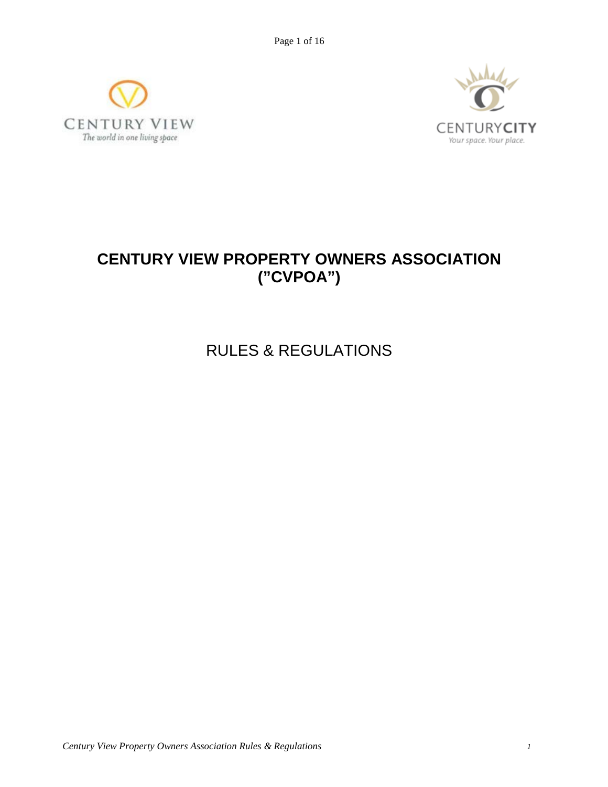Page 1 of 16





# **CENTURY VIEW PROPERTY OWNERS ASSOCIATION ("CVPOA")**

RULES & REGULATIONS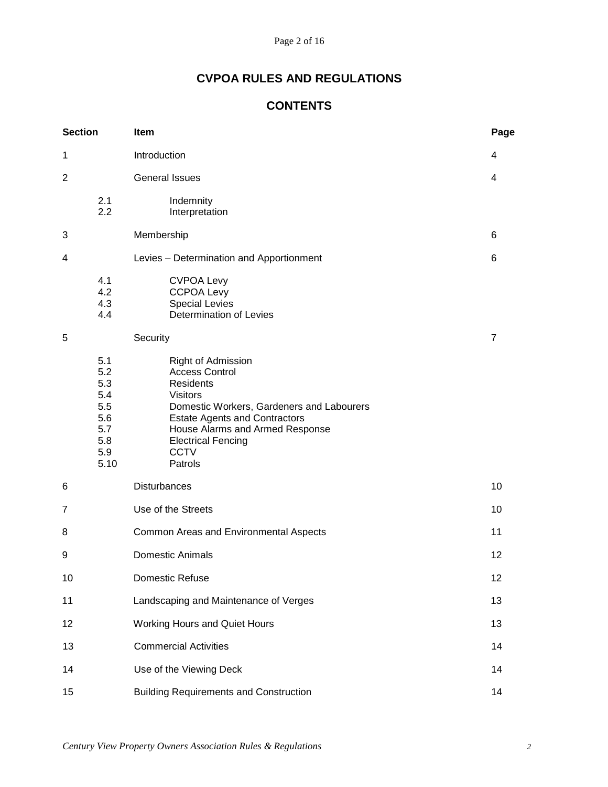# **CVPOA RULES AND REGULATIONS**

# **CONTENTS**

| <b>Section</b> |                                                                     | Item                                                                                                                                                                                                                                                              |                |  |
|----------------|---------------------------------------------------------------------|-------------------------------------------------------------------------------------------------------------------------------------------------------------------------------------------------------------------------------------------------------------------|----------------|--|
| 1              |                                                                     | Introduction                                                                                                                                                                                                                                                      | 4              |  |
| $\overline{2}$ |                                                                     | <b>General Issues</b>                                                                                                                                                                                                                                             | 4              |  |
|                | 2.1<br>2.2                                                          | Indemnity<br>Interpretation                                                                                                                                                                                                                                       |                |  |
| 3              |                                                                     | Membership                                                                                                                                                                                                                                                        | 6              |  |
| 4              |                                                                     | Levies - Determination and Apportionment                                                                                                                                                                                                                          | 6              |  |
|                | 4.1<br>4.2<br>4.3<br>4.4                                            | <b>CVPOA Levy</b><br><b>CCPOA Levy</b><br><b>Special Levies</b><br>Determination of Levies                                                                                                                                                                        |                |  |
| 5              |                                                                     | Security                                                                                                                                                                                                                                                          | $\overline{7}$ |  |
|                | 5.1<br>5.2<br>5.3<br>5.4<br>5.5<br>5.6<br>5.7<br>5.8<br>5.9<br>5.10 | Right of Admission<br><b>Access Control</b><br><b>Residents</b><br><b>Visitors</b><br>Domestic Workers, Gardeners and Labourers<br><b>Estate Agents and Contractors</b><br>House Alarms and Armed Response<br><b>Electrical Fencing</b><br><b>CCTV</b><br>Patrols |                |  |
| 6              |                                                                     | <b>Disturbances</b>                                                                                                                                                                                                                                               | 10             |  |
| 7              |                                                                     | Use of the Streets                                                                                                                                                                                                                                                | 10             |  |
| 8              | Common Areas and Environmental Aspects                              |                                                                                                                                                                                                                                                                   | 11             |  |
| 9              | <b>Domestic Animals</b>                                             |                                                                                                                                                                                                                                                                   | 12             |  |
| 10             | Domestic Refuse                                                     |                                                                                                                                                                                                                                                                   | 12             |  |
| 11             |                                                                     | Landscaping and Maintenance of Verges                                                                                                                                                                                                                             | 13             |  |
| 12             |                                                                     | <b>Working Hours and Quiet Hours</b>                                                                                                                                                                                                                              | 13             |  |
| 13             |                                                                     | <b>Commercial Activities</b>                                                                                                                                                                                                                                      | 14             |  |
| 14             |                                                                     | Use of the Viewing Deck                                                                                                                                                                                                                                           | 14             |  |
| 15             |                                                                     | <b>Building Requirements and Construction</b>                                                                                                                                                                                                                     | 14             |  |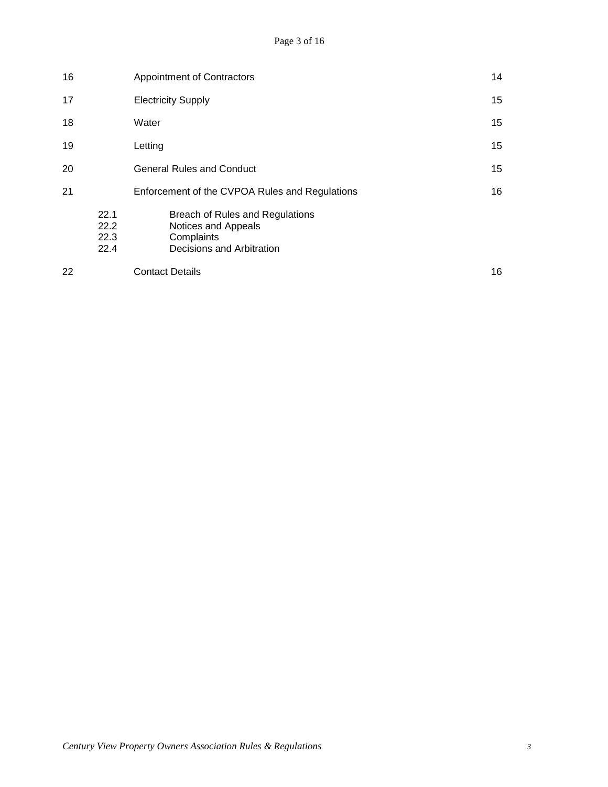| 16 |                              | 14<br>Appointment of Contractors                                                                  |    |  |
|----|------------------------------|---------------------------------------------------------------------------------------------------|----|--|
| 17 |                              | <b>Electricity Supply</b>                                                                         | 15 |  |
| 18 |                              | Water                                                                                             |    |  |
| 19 |                              | Letting                                                                                           |    |  |
| 20 |                              | <b>General Rules and Conduct</b>                                                                  |    |  |
| 21 |                              | Enforcement of the CVPOA Rules and Regulations                                                    | 16 |  |
|    | 22.1<br>22.2<br>22.3<br>22.4 | Breach of Rules and Regulations<br>Notices and Appeals<br>Complaints<br>Decisions and Arbitration |    |  |
| 22 |                              | <b>Contact Details</b>                                                                            | 16 |  |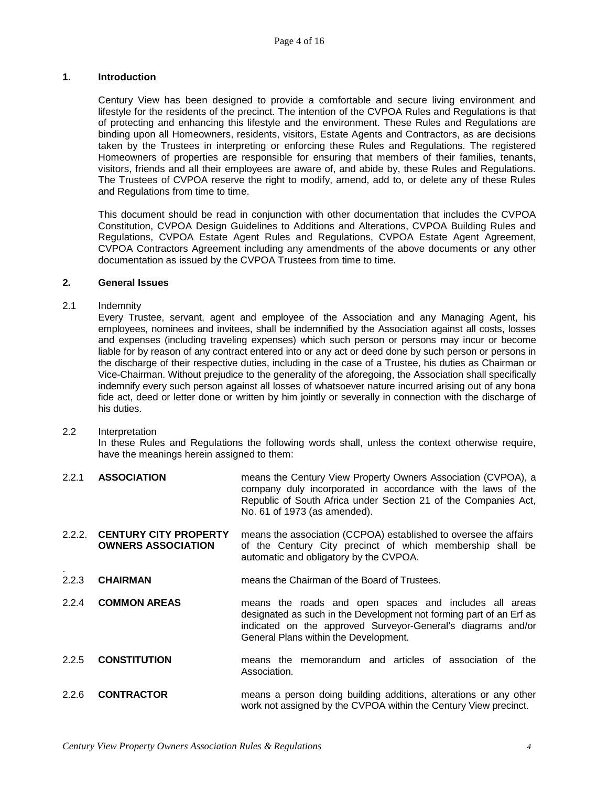# **1. Introduction**

Century View has been designed to provide a comfortable and secure living environment and lifestyle for the residents of the precinct. The intention of the CVPOA Rules and Regulations is that of protecting and enhancing this lifestyle and the environment. These Rules and Regulations are binding upon all Homeowners, residents, visitors, Estate Agents and Contractors, as are decisions taken by the Trustees in interpreting or enforcing these Rules and Regulations. The registered Homeowners of properties are responsible for ensuring that members of their families, tenants, visitors, friends and all their employees are aware of, and abide by, these Rules and Regulations. The Trustees of CVPOA reserve the right to modify, amend, add to, or delete any of these Rules and Regulations from time to time.

This document should be read in conjunction with other documentation that includes the CVPOA Constitution, CVPOA Design Guidelines to Additions and Alterations, CVPOA Building Rules and Regulations, CVPOA Estate Agent Rules and Regulations, CVPOA Estate Agent Agreement, CVPOA Contractors Agreement including any amendments of the above documents or any other documentation as issued by the CVPOA Trustees from time to time.

# **2. General Issues**

## 2.1 Indemnity

Every Trustee, servant, agent and employee of the Association and any Managing Agent, his employees, nominees and invitees, shall be indemnified by the Association against all costs, losses and expenses (including traveling expenses) which such person or persons may incur or become liable for by reason of any contract entered into or any act or deed done by such person or persons in the discharge of their respective duties, including in the case of a Trustee, his duties as Chairman or Vice-Chairman. Without prejudice to the generality of the aforegoing, the Association shall specifically indemnify every such person against all losses of whatsoever nature incurred arising out of any bona fide act, deed or letter done or written by him jointly or severally in connection with the discharge of his duties.

# 2.2 Interpretation

In these Rules and Regulations the following words shall, unless the context otherwise require, have the meanings herein assigned to them:

- 2.2.1 **ASSOCIATION** means the Century View Property Owners Association (CVPOA), a company duly incorporated in accordance with the laws of the Republic of South Africa under Section 21 of the Companies Act, No. 61 of 1973 (as amended).
- 2.2.2. **CENTURY CITY PROPERTY** means the association (CCPOA) established to oversee the affairs of the Century City precinct of which membership shall be automatic and obligatory by the CVPOA.
- . 2.2.3 **CHAIRMAN** means the Chairman of the Board of Trustees.
- 2.2.4 **COMMON AREAS** means the roads and open spaces and includes all areas designated as such in the Development not forming part of an Erf as indicated on the approved Surveyor-General's diagrams and/or General Plans within the Development.
- 2.2.5 **CONSTITUTION** means the memorandum and articles of association of the Association.
- 2.2.6 **CONTRACTOR** means a person doing building additions, alterations or any other work not assigned by the CVPOA within the Century View precinct.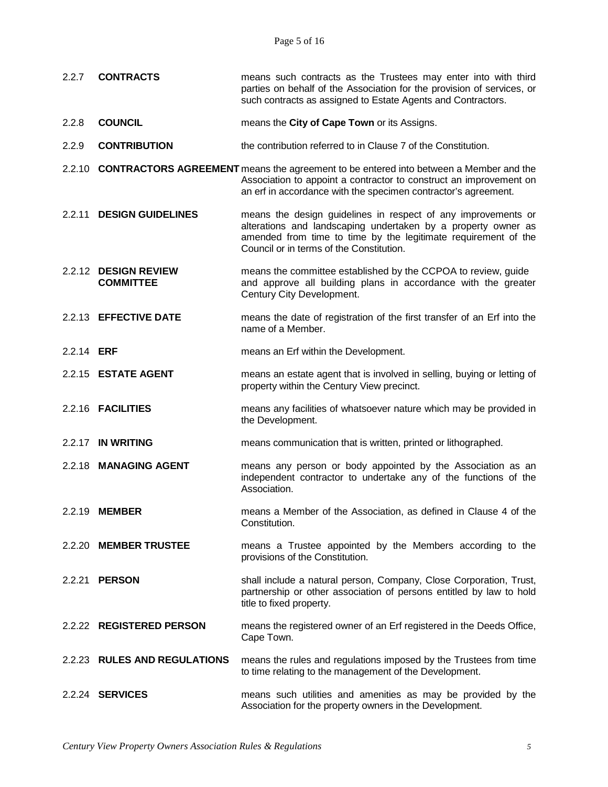Page 5 of 16

2.2.7 **CONTRACTS** means such contracts as the Trustees may enter into with third

|                   |                                          | parties on behalf of the Association for the provision of services, or<br>such contracts as assigned to Estate Agents and Contractors.                                                                                                       |
|-------------------|------------------------------------------|----------------------------------------------------------------------------------------------------------------------------------------------------------------------------------------------------------------------------------------------|
| 2.2.8             | <b>COUNCIL</b>                           | means the City of Cape Town or its Assigns.                                                                                                                                                                                                  |
| 2.2.9             | <b>CONTRIBUTION</b>                      | the contribution referred to in Clause 7 of the Constitution.                                                                                                                                                                                |
|                   |                                          | 2.2.10 <b>CONTRACTORS AGREEMENT</b> means the agreement to be entered into between a Member and the<br>Association to appoint a contractor to construct an improvement on<br>an erf in accordance with the specimen contractor's agreement.  |
|                   | 2.2.11 DESIGN GUIDELINES                 | means the design guidelines in respect of any improvements or<br>alterations and landscaping undertaken by a property owner as<br>amended from time to time by the legitimate requirement of the<br>Council or in terms of the Constitution. |
|                   | 2.2.12 DESIGN REVIEW<br><b>COMMITTEE</b> | means the committee established by the CCPOA to review, guide<br>and approve all building plans in accordance with the greater<br>Century City Development.                                                                                  |
|                   | 2.2.13 EFFECTIVE DATE                    | means the date of registration of the first transfer of an Erf into the<br>name of a Member.                                                                                                                                                 |
| 2.2.14 <b>ERF</b> |                                          | means an Erf within the Development.                                                                                                                                                                                                         |
|                   | 2.2.15 ESTATE AGENT                      | means an estate agent that is involved in selling, buying or letting of<br>property within the Century View precinct.                                                                                                                        |
|                   | 2.2.16 <b>FACILITIES</b>                 | means any facilities of whatsoever nature which may be provided in<br>the Development.                                                                                                                                                       |
|                   | 2.2.17 IN WRITING                        | means communication that is written, printed or lithographed.                                                                                                                                                                                |
|                   | 2.2.18 MANAGING AGENT                    | means any person or body appointed by the Association as an<br>independent contractor to undertake any of the functions of the<br>Association.                                                                                               |
|                   | 2.2.19 <b>MEMBER</b>                     | means a Member of the Association, as defined in Clause 4 of the<br>Constitution.                                                                                                                                                            |
|                   | 2.2.20 MEMBER TRUSTEE                    | means a Trustee appointed by the Members according to the<br>provisions of the Constitution.                                                                                                                                                 |
|                   | 2.2.21 <b>PERSON</b>                     | shall include a natural person, Company, Close Corporation, Trust,<br>partnership or other association of persons entitled by law to hold<br>title to fixed property.                                                                        |
|                   | 2.2.22 REGISTERED PERSON                 | means the registered owner of an Erf registered in the Deeds Office,<br>Cape Town.                                                                                                                                                           |
|                   | 2.2.23 RULES AND REGULATIONS             | means the rules and regulations imposed by the Trustees from time<br>to time relating to the management of the Development.                                                                                                                  |
|                   | 2.2.24 <b>SERVICES</b>                   | means such utilities and amenities as may be provided by the<br>Association for the property owners in the Development.                                                                                                                      |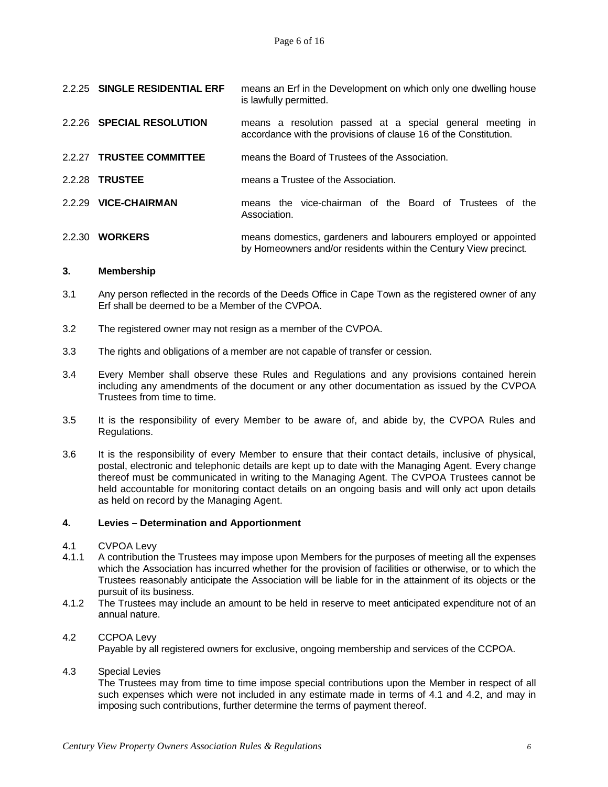|        | 2.2.25 SINGLE RESIDENTIAL ERF | means an Erf in the Development on which only one dwelling house<br>is lawfully permitted.                                         |
|--------|-------------------------------|------------------------------------------------------------------------------------------------------------------------------------|
|        | 2.2.26 SPECIAL RESOLUTION     | means a resolution passed at a special general meeting in<br>accordance with the provisions of clause 16 of the Constitution.      |
|        | 2.2.27 TRUSTEE COMMITTEE      | means the Board of Trustees of the Association.                                                                                    |
|        | 2.2.28 TRUSTEE                | means a Trustee of the Association.                                                                                                |
|        | 2.2.29 VICE-CHAIRMAN          | means the vice-chairman of the Board of Trustees of the<br>Association.                                                            |
| 2.2.30 | <b>WORKERS</b>                | means domestics, gardeners and labourers employed or appointed<br>by Homeowners and/or residents within the Century View precinct. |

#### **3. Membership**

- 3.1 Any person reflected in the records of the Deeds Office in Cape Town as the registered owner of any Erf shall be deemed to be a Member of the CVPOA.
- 3.2 The registered owner may not resign as a member of the CVPOA.
- 3.3 The rights and obligations of a member are not capable of transfer or cession.
- 3.4 Every Member shall observe these Rules and Regulations and any provisions contained herein including any amendments of the document or any other documentation as issued by the CVPOA Trustees from time to time.
- 3.5 It is the responsibility of every Member to be aware of, and abide by, the CVPOA Rules and Regulations.
- 3.6 It is the responsibility of every Member to ensure that their contact details, inclusive of physical, postal, electronic and telephonic details are kept up to date with the Managing Agent. Every change thereof must be communicated in writing to the Managing Agent. The CVPOA Trustees cannot be held accountable for monitoring contact details on an ongoing basis and will only act upon details as held on record by the Managing Agent.

#### **4. Levies – Determination and Apportionment**

- 4.1 CVPOA Levy<br>4.1.1 A contribution
- 4.1.1 A contribution the Trustees may impose upon Members for the purposes of meeting all the expenses which the Association has incurred whether for the provision of facilities or otherwise, or to which the Trustees reasonably anticipate the Association will be liable for in the attainment of its objects or the pursuit of its business.
- 4.1.2 The Trustees may include an amount to be held in reserve to meet anticipated expenditure not of an annual nature.

#### 4.2 CCPOA Levy

Payable by all registered owners for exclusive, ongoing membership and services of the CCPOA.

4.3 Special Levies

The Trustees may from time to time impose special contributions upon the Member in respect of all such expenses which were not included in any estimate made in terms of 4.1 and 4.2, and may in imposing such contributions, further determine the terms of payment thereof.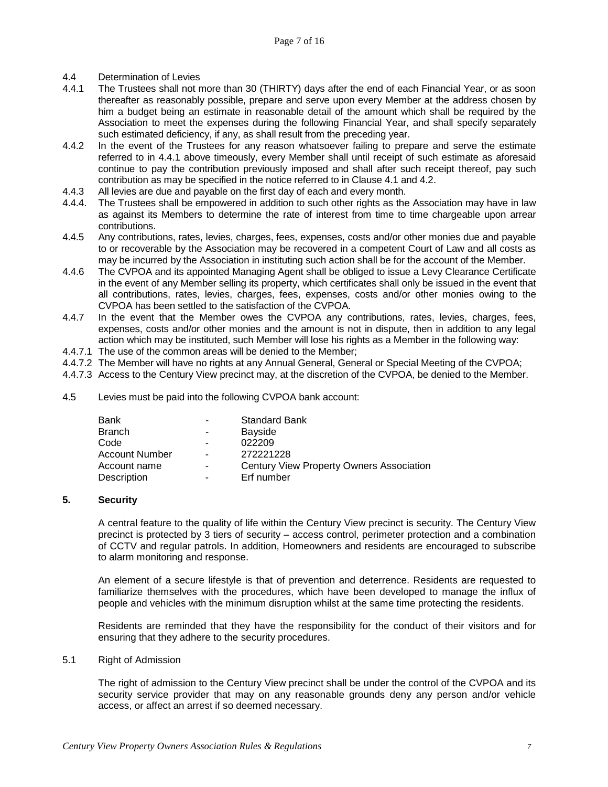- 4.4 Determination of Levies<br>4.4.1 The Trustees shall not r
- The Trustees shall not more than 30 (THIRTY) days after the end of each Financial Year, or as soon thereafter as reasonably possible, prepare and serve upon every Member at the address chosen by him a budget being an estimate in reasonable detail of the amount which shall be required by the Association to meet the expenses during the following Financial Year, and shall specify separately such estimated deficiency, if any, as shall result from the preceding year.
- 4.4.2 In the event of the Trustees for any reason whatsoever failing to prepare and serve the estimate referred to in 4.4.1 above timeously, every Member shall until receipt of such estimate as aforesaid continue to pay the contribution previously imposed and shall after such receipt thereof, pay such contribution as may be specified in the notice referred to in Clause 4.1 and 4.2.
- 4.4.3 All levies are due and payable on the first day of each and every month.
- 4.4.4. The Trustees shall be empowered in addition to such other rights as the Association may have in law as against its Members to determine the rate of interest from time to time chargeable upon arrear contributions.
- 4.4.5 Any contributions, rates, levies, charges, fees, expenses, costs and/or other monies due and payable to or recoverable by the Association may be recovered in a competent Court of Law and all costs as may be incurred by the Association in instituting such action shall be for the account of the Member.
- 4.4.6 The CVPOA and its appointed Managing Agent shall be obliged to issue a Levy Clearance Certificate in the event of any Member selling its property, which certificates shall only be issued in the event that all contributions, rates, levies, charges, fees, expenses, costs and/or other monies owing to the CVPOA has been settled to the satisfaction of the CVPOA.
- 4.4.7 In the event that the Member owes the CVPOA any contributions, rates, levies, charges, fees, expenses, costs and/or other monies and the amount is not in dispute, then in addition to any legal action which may be instituted, such Member will lose his rights as a Member in the following way:
- 4.4.7.1 The use of the common areas will be denied to the Member;
- 4.4.7.2 The Member will have no rights at any Annual General, General or Special Meeting of the CVPOA;
- 4.4.7.3 Access to the Century View precinct may, at the discretion of the CVPOA, be denied to the Member.
- 4.5 Levies must be paid into the following CVPOA bank account:

| Bank           | $\blacksquare$ | <b>Standard Bank</b>                     |
|----------------|----------------|------------------------------------------|
| Branch         |                | Bayside                                  |
| Code           | ۰              | 022209                                   |
| Account Number | -              | 272221228                                |
| Account name   | ۰.             | Century View Property Owners Association |
| Description    |                | Erf number                               |

# **5. Security**

A central feature to the quality of life within the Century View precinct is security. The Century View precinct is protected by 3 tiers of security – access control, perimeter protection and a combination of CCTV and regular patrols. In addition, Homeowners and residents are encouraged to subscribe to alarm monitoring and response.

An element of a secure lifestyle is that of prevention and deterrence. Residents are requested to familiarize themselves with the procedures, which have been developed to manage the influx of people and vehicles with the minimum disruption whilst at the same time protecting the residents.

Residents are reminded that they have the responsibility for the conduct of their visitors and for ensuring that they adhere to the security procedures.

#### 5.1 Right of Admission

The right of admission to the Century View precinct shall be under the control of the CVPOA and its security service provider that may on any reasonable grounds deny any person and/or vehicle access, or affect an arrest if so deemed necessary.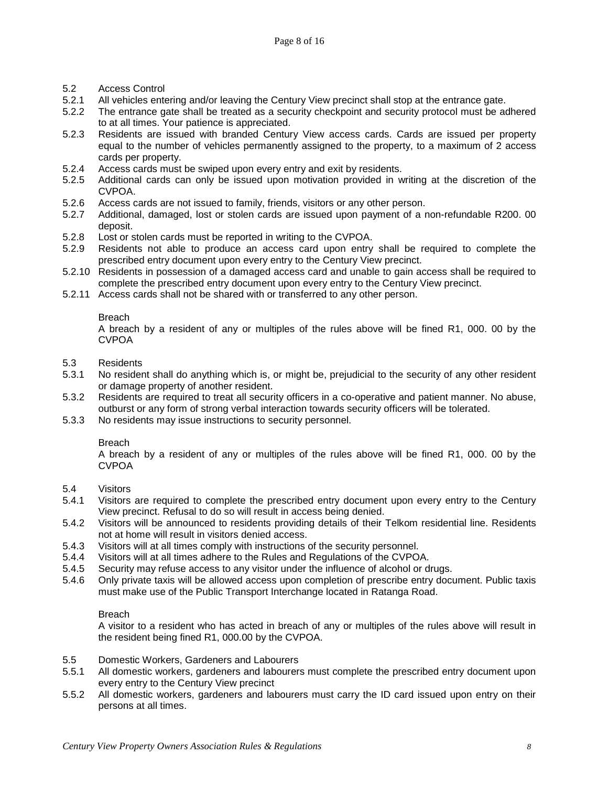- 5.2 Access Control
- 5.2.1 All vehicles entering and/or leaving the Century View precinct shall stop at the entrance gate.<br>5.2.2 The entrance gate shall be treated as a security checkpoint and security protocol must be ad
- The entrance gate shall be treated as a security checkpoint and security protocol must be adhered to at all times. Your patience is appreciated.
- 5.2.3 Residents are issued with branded Century View access cards. Cards are issued per property equal to the number of vehicles permanently assigned to the property, to a maximum of 2 access cards per property.
- 5.2.4 Access cards must be swiped upon every entry and exit by residents.<br>5.2.5 Additional cards can only be issued upon motivation provided in w
- 5.2.5 Additional cards can only be issued upon motivation provided in writing at the discretion of the CVPOA.
- 5.2.6 Access cards are not issued to family, friends, visitors or any other person.<br>5.2.7 Additional, damaged, lost or stolen cards are issued upon payment of a r
- 5.2.7 Additional, damaged, lost or stolen cards are issued upon payment of a non-refundable R200. 00 deposit.
- 5.2.8 Lost or stolen cards must be reported in writing to the CVPOA.<br>5.2.9 Residents not able to produce an access card upon entry
- 5.2.9 Residents not able to produce an access card upon entry shall be required to complete the prescribed entry document upon every entry to the Century View precinct.
- 5.2.10 Residents in possession of a damaged access card and unable to gain access shall be required to complete the prescribed entry document upon every entry to the Century View precinct.
- 5.2.11 Access cards shall not be shared with or transferred to any other person.

A breach by a resident of any or multiples of the rules above will be fined R1, 000. 00 by the CVPOA

- 5.3 Residents
- No resident shall do anything which is, or might be, prejudicial to the security of any other resident or damage property of another resident.
- 5.3.2 Residents are required to treat all security officers in a co-operative and patient manner. No abuse, outburst or any form of strong verbal interaction towards security officers will be tolerated.
- 5.3.3 No residents may issue instructions to security personnel.

#### Breach

A breach by a resident of any or multiples of the rules above will be fined R1, 000. 00 by the CVPOA

- 5.4 Visitors
- 5.4.1 Visitors are required to complete the prescribed entry document upon every entry to the Century View precinct. Refusal to do so will result in access being denied.
- 5.4.2 Visitors will be announced to residents providing details of their Telkom residential line. Residents not at home will result in visitors denied access.
- 5.4.3 Visitors will at all times comply with instructions of the security personnel.<br>5.4.4 Visitors will at all times adhere to the Rules and Regulations of the CVPO.
- 5.4.4 Visitors will at all times adhere to the Rules and Regulations of the CVPOA.
- 5.4.5 Security may refuse access to any visitor under the influence of alcohol or drugs.
- 5.4.6 Only private taxis will be allowed access upon completion of prescribe entry document. Public taxis must make use of the Public Transport Interchange located in Ratanga Road.

# Breach

A visitor to a resident who has acted in breach of any or multiples of the rules above will result in the resident being fined R1, 000.00 by the CVPOA.

- 5.5 Domestic Workers, Gardeners and Labourers
- 5.5.1 All domestic workers, gardeners and labourers must complete the prescribed entry document upon every entry to the Century View precinct
- 5.5.2 All domestic workers, gardeners and labourers must carry the ID card issued upon entry on their persons at all times.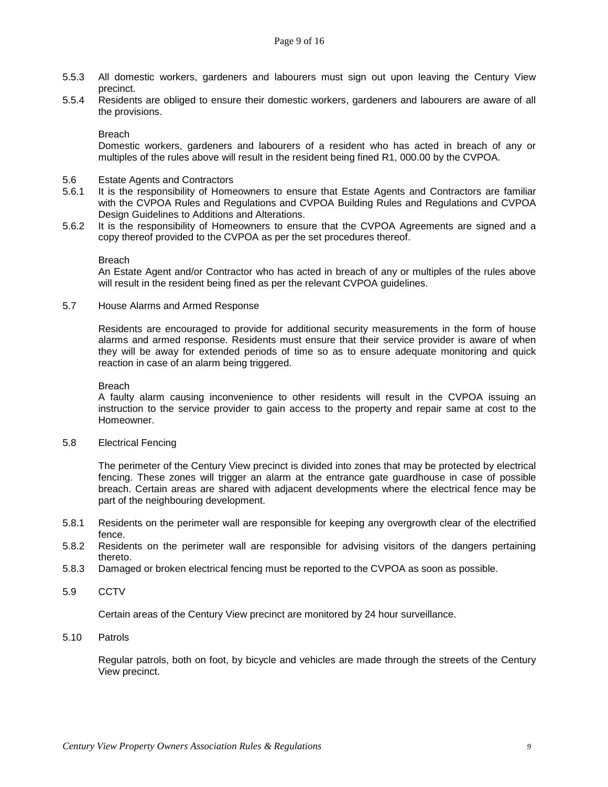- 5.5.3 All domestic workers, gardeners and labourers must sign out upon leaving the Century View precinct.
- 5.5.4 Residents are obliged to ensure their domestic workers, gardeners and labourers are aware of all the provisions.

Domestic workers, gardeners and labourers of a resident who has acted in breach of any or multiples of the rules above will result in the resident being fined R1, 000.00 by the CVPOA.

- 5.6 Estate Agents and Contractors
- 5.6.1 It is the responsibility of Homeowners to ensure that Estate Agents and Contractors are familiar with the CVPOA Rules and Regulations and CVPOA Building Rules and Regulations and CVPOA Design Guidelines to Additions and Alterations.
- 5.6.2 It is the responsibility of Homeowners to ensure that the CVPOA Agreements are signed and a copy thereof provided to the CVPOA as per the set procedures thereof.

#### Breach

An Estate Agent and/or Contractor who has acted in breach of any or multiples of the rules above will result in the resident being fined as per the relevant CVPOA guidelines.

5.7 House Alarms and Armed Response

Residents are encouraged to provide for additional security measurements in the form of house alarms and armed response. Residents must ensure that their service provider is aware of when they will be away for extended periods of time so as to ensure adequate monitoring and quick reaction in case of an alarm being triggered.

#### Breach

A faulty alarm causing inconvenience to other residents will result in the CVPOA issuing an instruction to the service provider to gain access to the property and repair same at cost to the Homeowner.

5.8 Electrical Fencing

The perimeter of the Century View precinct is divided into zones that may be protected by electrical fencing. These zones will trigger an alarm at the entrance gate guardhouse in case of possible breach. Certain areas are shared with adjacent developments where the electrical fence may be part of the neighbouring development.

- 5.8.1 Residents on the perimeter wall are responsible for keeping any overgrowth clear of the electrified fence.
- 5.8.2 Residents on the perimeter wall are responsible for advising visitors of the dangers pertaining thereto.
- 5.8.3 Damaged or broken electrical fencing must be reported to the CVPOA as soon as possible.
- 5.9 CCTV

Certain areas of the Century View precinct are monitored by 24 hour surveillance.

#### 5.10 Patrols

Regular patrols, both on foot, by bicycle and vehicles are made through the streets of the Century View precinct.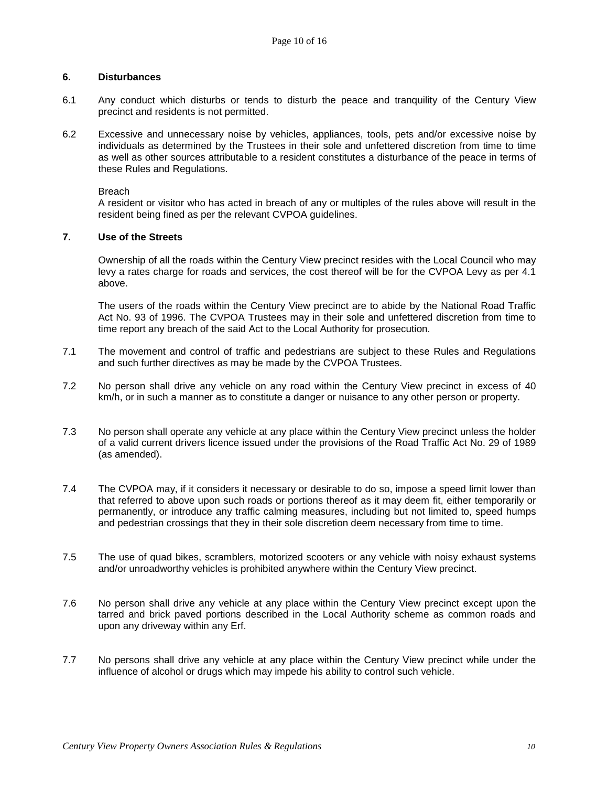#### **6. Disturbances**

- 6.1 Any conduct which disturbs or tends to disturb the peace and tranquility of the Century View precinct and residents is not permitted.
- 6.2 Excessive and unnecessary noise by vehicles, appliances, tools, pets and/or excessive noise by individuals as determined by the Trustees in their sole and unfettered discretion from time to time as well as other sources attributable to a resident constitutes a disturbance of the peace in terms of these Rules and Regulations.

Breach

A resident or visitor who has acted in breach of any or multiples of the rules above will result in the resident being fined as per the relevant CVPOA guidelines.

# **7. Use of the Streets**

Ownership of all the roads within the Century View precinct resides with the Local Council who may levy a rates charge for roads and services, the cost thereof will be for the CVPOA Levy as per 4.1 above.

The users of the roads within the Century View precinct are to abide by the National Road Traffic Act No. 93 of 1996. The CVPOA Trustees may in their sole and unfettered discretion from time to time report any breach of the said Act to the Local Authority for prosecution.

- 7.1 The movement and control of traffic and pedestrians are subject to these Rules and Regulations and such further directives as may be made by the CVPOA Trustees.
- 7.2 No person shall drive any vehicle on any road within the Century View precinct in excess of 40 km/h, or in such a manner as to constitute a danger or nuisance to any other person or property.
- 7.3 No person shall operate any vehicle at any place within the Century View precinct unless the holder of a valid current drivers licence issued under the provisions of the Road Traffic Act No. 29 of 1989 (as amended).
- 7.4 The CVPOA may, if it considers it necessary or desirable to do so, impose a speed limit lower than that referred to above upon such roads or portions thereof as it may deem fit, either temporarily or permanently, or introduce any traffic calming measures, including but not limited to, speed humps and pedestrian crossings that they in their sole discretion deem necessary from time to time.
- 7.5 The use of quad bikes, scramblers, motorized scooters or any vehicle with noisy exhaust systems and/or unroadworthy vehicles is prohibited anywhere within the Century View precinct.
- 7.6 No person shall drive any vehicle at any place within the Century View precinct except upon the tarred and brick paved portions described in the Local Authority scheme as common roads and upon any driveway within any Erf.
- 7.7 No persons shall drive any vehicle at any place within the Century View precinct while under the influence of alcohol or drugs which may impede his ability to control such vehicle.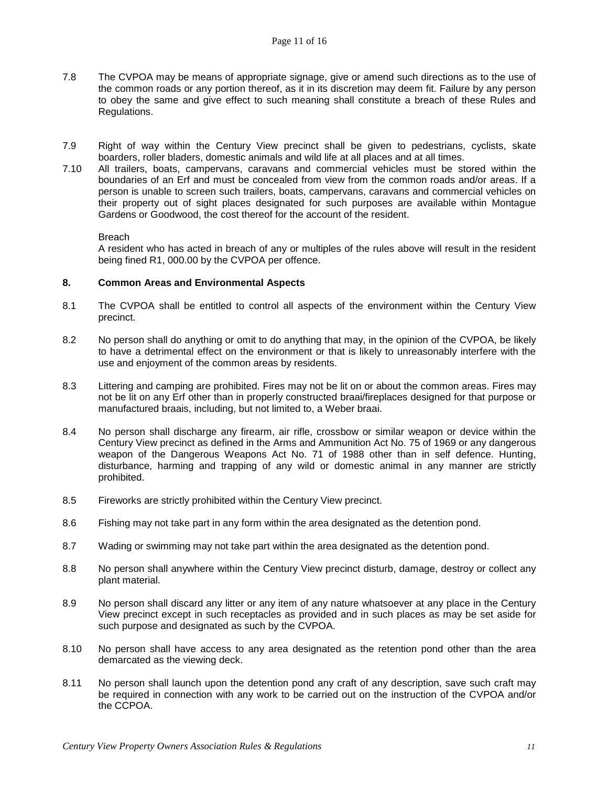- 7.8 The CVPOA may be means of appropriate signage, give or amend such directions as to the use of the common roads or any portion thereof, as it in its discretion may deem fit. Failure by any person to obey the same and give effect to such meaning shall constitute a breach of these Rules and Regulations.
- 7.9 Right of way within the Century View precinct shall be given to pedestrians, cyclists, skate boarders, roller bladers, domestic animals and wild life at all places and at all times.
- 7.10 All trailers, boats, campervans, caravans and commercial vehicles must be stored within the boundaries of an Erf and must be concealed from view from the common roads and/or areas. If a person is unable to screen such trailers, boats, campervans, caravans and commercial vehicles on their property out of sight places designated for such purposes are available within Montague Gardens or Goodwood, the cost thereof for the account of the resident.

A resident who has acted in breach of any or multiples of the rules above will result in the resident being fined R1, 000.00 by the CVPOA per offence.

#### **8. Common Areas and Environmental Aspects**

- 8.1 The CVPOA shall be entitled to control all aspects of the environment within the Century View precinct.
- 8.2 No person shall do anything or omit to do anything that may, in the opinion of the CVPOA, be likely to have a detrimental effect on the environment or that is likely to unreasonably interfere with the use and enjoyment of the common areas by residents.
- 8.3 Littering and camping are prohibited. Fires may not be lit on or about the common areas. Fires may not be lit on any Erf other than in properly constructed braai/fireplaces designed for that purpose or manufactured braais, including, but not limited to, a Weber braai.
- 8.4 No person shall discharge any firearm, air rifle, crossbow or similar weapon or device within the Century View precinct as defined in the Arms and Ammunition Act No. 75 of 1969 or any dangerous weapon of the Dangerous Weapons Act No. 71 of 1988 other than in self defence. Hunting, disturbance, harming and trapping of any wild or domestic animal in any manner are strictly prohibited.
- 8.5 Fireworks are strictly prohibited within the Century View precinct.
- 8.6 Fishing may not take part in any form within the area designated as the detention pond.
- 8.7 Wading or swimming may not take part within the area designated as the detention pond.
- 8.8 No person shall anywhere within the Century View precinct disturb, damage, destroy or collect any plant material.
- 8.9 No person shall discard any litter or any item of any nature whatsoever at any place in the Century View precinct except in such receptacles as provided and in such places as may be set aside for such purpose and designated as such by the CVPOA.
- 8.10 No person shall have access to any area designated as the retention pond other than the area demarcated as the viewing deck.
- 8.11 No person shall launch upon the detention pond any craft of any description, save such craft may be required in connection with any work to be carried out on the instruction of the CVPOA and/or the CCPOA.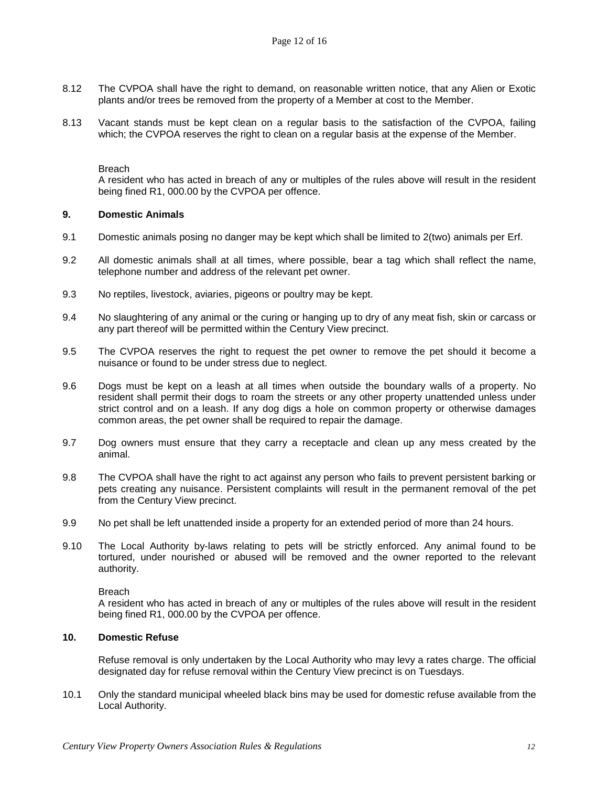- 8.12 The CVPOA shall have the right to demand, on reasonable written notice, that any Alien or Exotic plants and/or trees be removed from the property of a Member at cost to the Member.
- 8.13 Vacant stands must be kept clean on a regular basis to the satisfaction of the CVPOA, failing which; the CVPOA reserves the right to clean on a regular basis at the expense of the Member.

A resident who has acted in breach of any or multiples of the rules above will result in the resident being fined R1, 000.00 by the CVPOA per offence.

#### **9. Domestic Animals**

- 9.1 Domestic animals posing no danger may be kept which shall be limited to 2(two) animals per Erf.
- 9.2 All domestic animals shall at all times, where possible, bear a tag which shall reflect the name, telephone number and address of the relevant pet owner.
- 9.3 No reptiles, livestock, aviaries, pigeons or poultry may be kept.
- 9.4 No slaughtering of any animal or the curing or hanging up to dry of any meat fish, skin or carcass or any part thereof will be permitted within the Century View precinct.
- 9.5 The CVPOA reserves the right to request the pet owner to remove the pet should it become a nuisance or found to be under stress due to neglect.
- 9.6 Dogs must be kept on a leash at all times when outside the boundary walls of a property. No resident shall permit their dogs to roam the streets or any other property unattended unless under strict control and on a leash. If any dog digs a hole on common property or otherwise damages common areas, the pet owner shall be required to repair the damage.
- 9.7 Dog owners must ensure that they carry a receptacle and clean up any mess created by the animal.
- 9.8 The CVPOA shall have the right to act against any person who fails to prevent persistent barking or pets creating any nuisance. Persistent complaints will result in the permanent removal of the pet from the Century View precinct.
- 9.9 No pet shall be left unattended inside a property for an extended period of more than 24 hours.
- 9.10 The Local Authority by-laws relating to pets will be strictly enforced. Any animal found to be tortured, under nourished or abused will be removed and the owner reported to the relevant authority.

#### Breach

A resident who has acted in breach of any or multiples of the rules above will result in the resident being fined R1, 000.00 by the CVPOA per offence.

#### **10. Domestic Refuse**

Refuse removal is only undertaken by the Local Authority who may levy a rates charge. The official designated day for refuse removal within the Century View precinct is on Tuesdays.

10.1 Only the standard municipal wheeled black bins may be used for domestic refuse available from the Local Authority.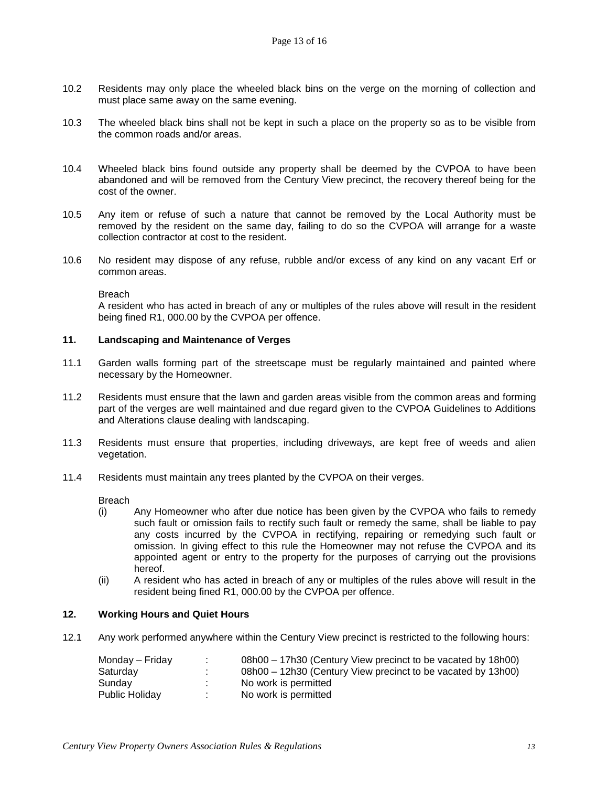- 10.2 Residents may only place the wheeled black bins on the verge on the morning of collection and must place same away on the same evening.
- 10.3 The wheeled black bins shall not be kept in such a place on the property so as to be visible from the common roads and/or areas.
- 10.4 Wheeled black bins found outside any property shall be deemed by the CVPOA to have been abandoned and will be removed from the Century View precinct, the recovery thereof being for the cost of the owner.
- 10.5 Any item or refuse of such a nature that cannot be removed by the Local Authority must be removed by the resident on the same day, failing to do so the CVPOA will arrange for a waste collection contractor at cost to the resident.
- 10.6 No resident may dispose of any refuse, rubble and/or excess of any kind on any vacant Erf or common areas.

A resident who has acted in breach of any or multiples of the rules above will result in the resident being fined R1, 000.00 by the CVPOA per offence.

#### **11. Landscaping and Maintenance of Verges**

- 11.1 Garden walls forming part of the streetscape must be regularly maintained and painted where necessary by the Homeowner.
- 11.2 Residents must ensure that the lawn and garden areas visible from the common areas and forming part of the verges are well maintained and due regard given to the CVPOA Guidelines to Additions and Alterations clause dealing with landscaping.
- 11.3 Residents must ensure that properties, including driveways, are kept free of weeds and alien vegetation.
- 11.4 Residents must maintain any trees planted by the CVPOA on their verges.

Breach

- (i) Any Homeowner who after due notice has been given by the CVPOA who fails to remedy such fault or omission fails to rectify such fault or remedy the same, shall be liable to pay any costs incurred by the CVPOA in rectifying, repairing or remedying such fault or omission. In giving effect to this rule the Homeowner may not refuse the CVPOA and its appointed agent or entry to the property for the purposes of carrying out the provisions hereof.
- (ii) A resident who has acted in breach of any or multiples of the rules above will result in the resident being fined R1, 000.00 by the CVPOA per offence.

# **12. Working Hours and Quiet Hours**

12.1 Any work performed anywhere within the Century View precinct is restricted to the following hours:

| Monday – Friday | 08h00 – 17h30 (Century View precinct to be vacated by 18h00) |
|-----------------|--------------------------------------------------------------|
| Saturday        | 08h00 – 12h30 (Century View precinct to be vacated by 13h00) |
| Sundav          | No work is permitted                                         |
| Public Holiday  | No work is permitted                                         |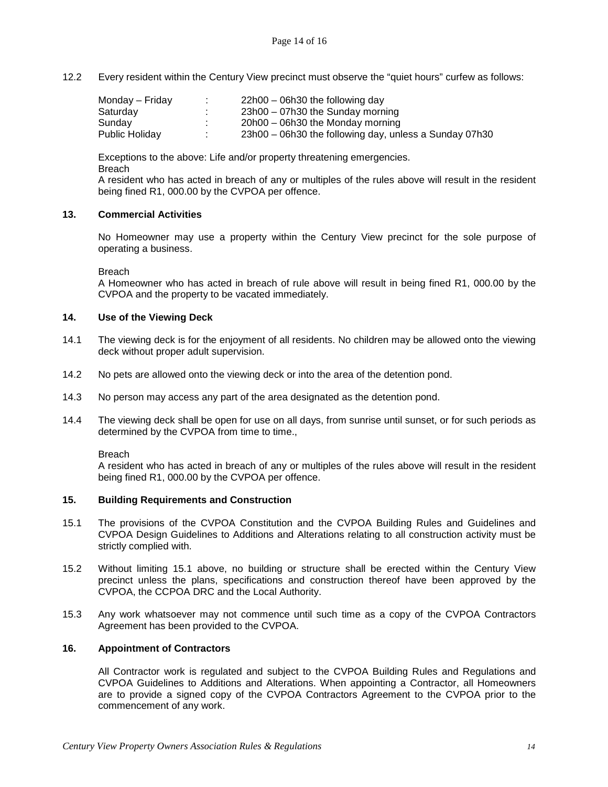12.2 Every resident within the Century View precinct must observe the "quiet hours" curfew as follows:

| Monday – Friday | $\mathbf{r}$ | $22h00 - 06h30$ the following day                      |
|-----------------|--------------|--------------------------------------------------------|
| Saturday        |              | $23h00 - 07h30$ the Sunday morning                     |
| Sunday          | $\sim$       | $20h00 - 06h30$ the Monday morning                     |
| Public Holidav  |              | 23h00 – 06h30 the following day, unless a Sunday 07h30 |

Exceptions to the above: Life and/or property threatening emergencies. Breach

A resident who has acted in breach of any or multiples of the rules above will result in the resident being fined R1, 000.00 by the CVPOA per offence.

# **13. Commercial Activities**

No Homeowner may use a property within the Century View precinct for the sole purpose of operating a business.

**Breach** 

A Homeowner who has acted in breach of rule above will result in being fined R1, 000.00 by the CVPOA and the property to be vacated immediately.

### **14. Use of the Viewing Deck**

- 14.1 The viewing deck is for the enjoyment of all residents. No children may be allowed onto the viewing deck without proper adult supervision.
- 14.2 No pets are allowed onto the viewing deck or into the area of the detention pond.
- 14.3 No person may access any part of the area designated as the detention pond.
- 14.4 The viewing deck shall be open for use on all days, from sunrise until sunset, or for such periods as determined by the CVPOA from time to time.,

#### Breach

A resident who has acted in breach of any or multiples of the rules above will result in the resident being fined R1, 000.00 by the CVPOA per offence.

#### **15. Building Requirements and Construction**

- 15.1 The provisions of the CVPOA Constitution and the CVPOA Building Rules and Guidelines and CVPOA Design Guidelines to Additions and Alterations relating to all construction activity must be strictly complied with.
- 15.2 Without limiting 15.1 above, no building or structure shall be erected within the Century View precinct unless the plans, specifications and construction thereof have been approved by the CVPOA, the CCPOA DRC and the Local Authority.
- 15.3 Any work whatsoever may not commence until such time as a copy of the CVPOA Contractors Agreement has been provided to the CVPOA.

#### **16. Appointment of Contractors**

All Contractor work is regulated and subject to the CVPOA Building Rules and Regulations and CVPOA Guidelines to Additions and Alterations. When appointing a Contractor, all Homeowners are to provide a signed copy of the CVPOA Contractors Agreement to the CVPOA prior to the commencement of any work.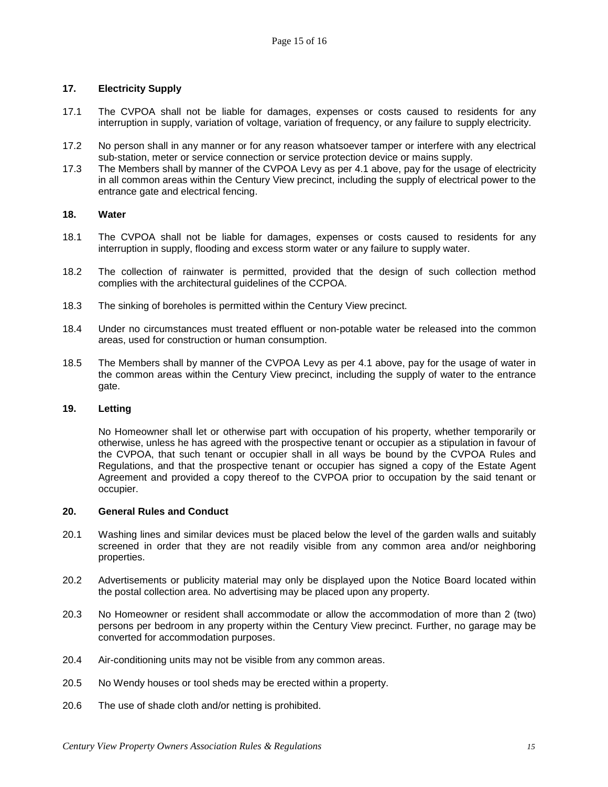## **17. Electricity Supply**

- 17.1 The CVPOA shall not be liable for damages, expenses or costs caused to residents for any interruption in supply, variation of voltage, variation of frequency, or any failure to supply electricity.
- 17.2 No person shall in any manner or for any reason whatsoever tamper or interfere with any electrical sub-station, meter or service connection or service protection device or mains supply.
- 17.3 The Members shall by manner of the CVPOA Levy as per 4.1 above, pay for the usage of electricity in all common areas within the Century View precinct, including the supply of electrical power to the entrance gate and electrical fencing.

#### **18. Water**

- 18.1 The CVPOA shall not be liable for damages, expenses or costs caused to residents for any interruption in supply, flooding and excess storm water or any failure to supply water.
- 18.2 The collection of rainwater is permitted, provided that the design of such collection method complies with the architectural guidelines of the CCPOA.
- 18.3 The sinking of boreholes is permitted within the Century View precinct.
- 18.4 Under no circumstances must treated effluent or non-potable water be released into the common areas, used for construction or human consumption.
- 18.5 The Members shall by manner of the CVPOA Levy as per 4.1 above, pay for the usage of water in the common areas within the Century View precinct, including the supply of water to the entrance gate.

#### **19. Letting**

No Homeowner shall let or otherwise part with occupation of his property, whether temporarily or otherwise, unless he has agreed with the prospective tenant or occupier as a stipulation in favour of the CVPOA, that such tenant or occupier shall in all ways be bound by the CVPOA Rules and Regulations, and that the prospective tenant or occupier has signed a copy of the Estate Agent Agreement and provided a copy thereof to the CVPOA prior to occupation by the said tenant or occupier.

#### **20. General Rules and Conduct**

- 20.1 Washing lines and similar devices must be placed below the level of the garden walls and suitably screened in order that they are not readily visible from any common area and/or neighboring properties.
- 20.2 Advertisements or publicity material may only be displayed upon the Notice Board located within the postal collection area. No advertising may be placed upon any property.
- 20.3 No Homeowner or resident shall accommodate or allow the accommodation of more than 2 (two) persons per bedroom in any property within the Century View precinct. Further, no garage may be converted for accommodation purposes.
- 20.4 Air-conditioning units may not be visible from any common areas.
- 20.5 No Wendy houses or tool sheds may be erected within a property.
- 20.6 The use of shade cloth and/or netting is prohibited.